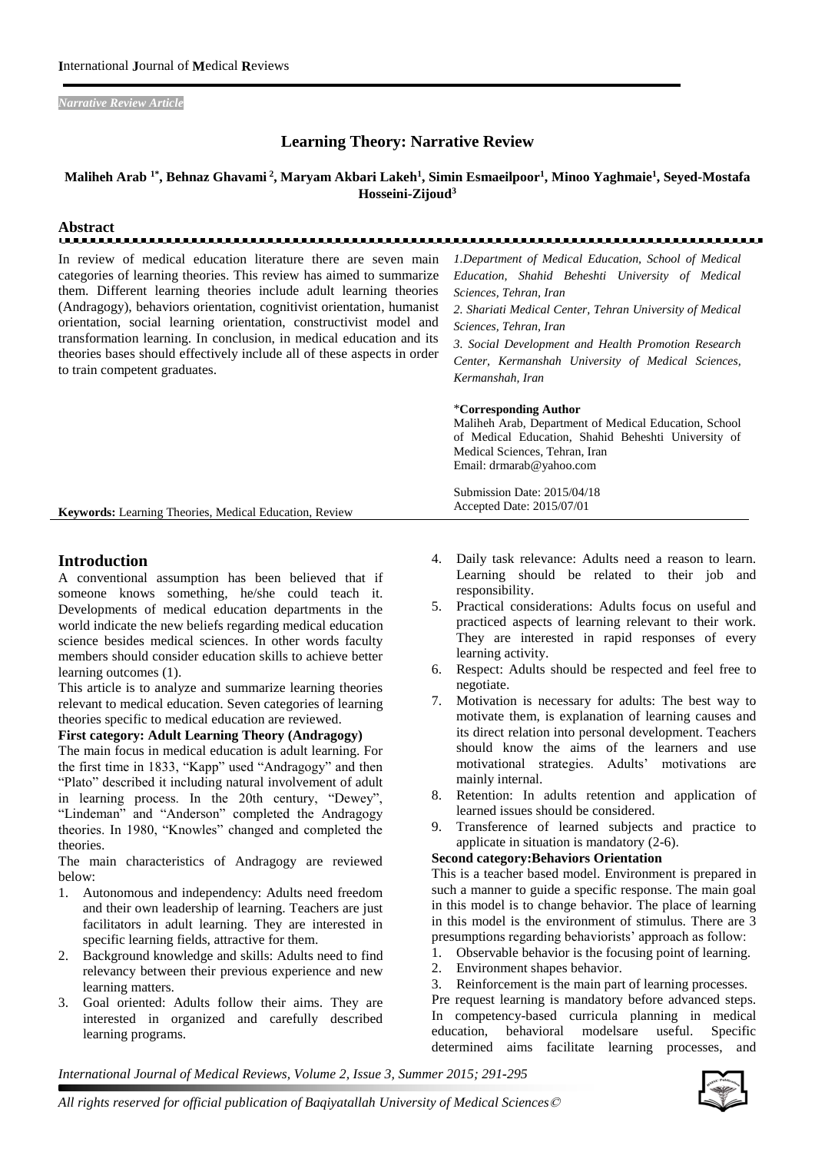*Narrative Review Article* 

# **Learning Theory: Narrative Review**

## **Maliheh Arab 1\*, Behnaz Ghavami <sup>2</sup> , Maryam Akbari Lakeh<sup>1</sup> , Simin Esmaeilpoor<sup>1</sup> , Minoo Yaghmaie<sup>1</sup> , Seyed-Mostafa Hosseini-Zijoud<sup>3</sup>**

# **Abstract**

In review of medical education literature there are seven main categories of learning theories. This review has aimed to summarize them. Different learning theories include adult learning theories (Andragogy), behaviors orientation, cognitivist orientation, humanist orientation, social learning orientation, constructivist model and transformation learning. In conclusion, in medical education and its theories bases should effectively include all of these aspects in order to train competent graduates.

*1.Department of Medical Education, School of Medical Education, Shahid Beheshti University of Medical Sciences, Tehran, Iran*

*2. Shariati Medical Center, Tehran University of Medical Sciences, Tehran, Iran*

*3. Social Development and Health Promotion Research Center, Kermanshah University of Medical Sciences, Kermanshah, Iran* 

#### \***Corresponding Author**

Submission Date: 2015/04/18 Accepted Date: 2015/07/01

Maliheh Arab, Department of Medical Education, School of Medical Education, Shahid Beheshti University of Medical Sciences, Tehran, Iran Email: drmarab@yahoo.com

**Keywords:** Learning Theories, Medical Education, Review

# **Introduction**

A conventional assumption has been believed that if someone knows something, he/she could teach it. Developments of medical education departments in the world indicate the new beliefs regarding medical education science besides medical sciences. In other words faculty members should consider education skills to achieve better learning outcomes (1).

This article is to analyze and summarize learning theories relevant to medical education. Seven categories of learning theories specific to medical education are reviewed.

#### **First category: Adult Learning Theory (Andragogy)**

The main focus in medical education is adult learning. For the first time in 1833, "Kapp" used "Andragogy" and then "Plato" described it including natural involvement of adult in learning process. In the 20th century, "Dewey", "Lindeman" and "Anderson" completed the Andragogy theories. In 1980, "Knowles" changed and completed the theories.

The main characteristics of Andragogy are reviewed below:

- 1. Autonomous and independency: Adults need freedom and their own leadership of learning. Teachers are just facilitators in adult learning. They are interested in specific learning fields, attractive for them.
- 2. Background knowledge and skills: Adults need to find relevancy between their previous experience and new learning matters.
- 3. Goal oriented: Adults follow their aims. They are interested in organized and carefully described learning programs.
- 4. Daily task relevance: Adults need a reason to learn. Learning should be related to their job and responsibility.
- 5. Practical considerations: Adults focus on useful and practiced aspects of learning relevant to their work. They are interested in rapid responses of every learning activity.
- 6. Respect: Adults should be respected and feel free to negotiate.
- 7. Motivation is necessary for adults: The best way to motivate them, is explanation of learning causes and its direct relation into personal development. Teachers should know the aims of the learners and use motivational strategies. Adults' motivations are mainly internal.
- 8. Retention: In adults retention and application of learned issues should be considered.
- 9. Transference of learned subjects and practice to applicate in situation is mandatory (2-6).

#### **Second category:Behaviors Orientation**

This is a teacher based model. Environment is prepared in such a manner to guide a specific response. The main goal in this model is to change behavior. The place of learning in this model is the environment of stimulus. There are 3 presumptions regarding behaviorists' approach as follow:

- 1. Observable behavior is the focusing point of learning.
- 2. Environment shapes behavior.
- 3. Reinforcement is the main part of learning processes.

Pre request learning is mandatory before advanced steps. In competency-based curricula planning in medical education, behavioral modelsare useful. Specific determined aims facilitate learning processes, and

*International Journal of Medical Reviews, Volume 2, Issue 3, Summer 2015; 291-295*

*All rights reserved for official publication of Baqiyatallah University of Medical Sciences*©

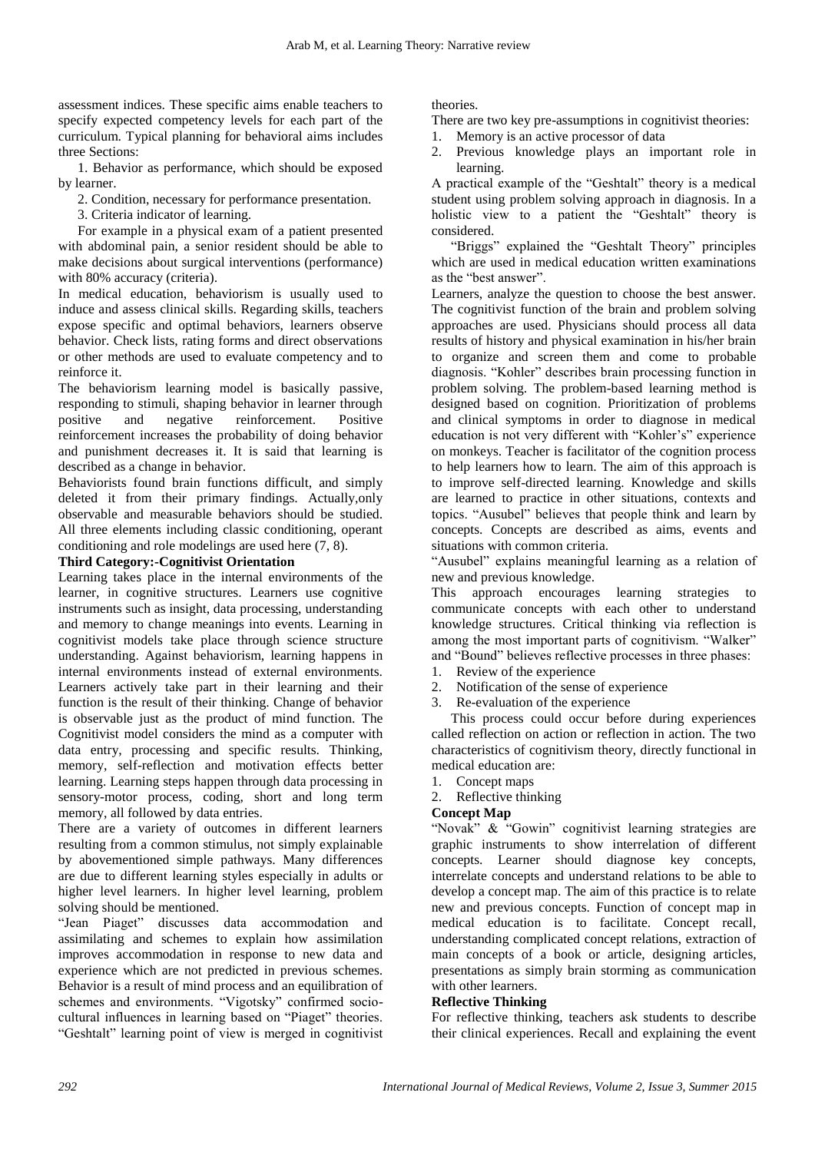assessment indices. These specific aims enable teachers to specify expected competency levels for each part of the curriculum. Typical planning for behavioral aims includes three Sections:

1. Behavior as performance, which should be exposed by learner.

2. Condition, necessary for performance presentation.

3. Criteria indicator of learning.

For example in a physical exam of a patient presented with abdominal pain, a senior resident should be able to make decisions about surgical interventions (performance) with 80% accuracy (criteria).

In medical education, behaviorism is usually used to induce and assess clinical skills. Regarding skills, teachers expose specific and optimal behaviors, learners observe behavior. Check lists, rating forms and direct observations or other methods are used to evaluate competency and to reinforce it.

The behaviorism learning model is basically passive, responding to stimuli, shaping behavior in learner through positive and negative reinforcement. Positive reinforcement increases the probability of doing behavior and punishment decreases it. It is said that learning is described as a change in behavior.

Behaviorists found brain functions difficult, and simply deleted it from their primary findings. Actually,only observable and measurable behaviors should be studied. All three elements including classic conditioning, operant conditioning and role modelings are used here (7, 8).

# **Third Category:-Cognitivist Orientation**

Learning takes place in the internal environments of the learner, in cognitive structures. Learners use cognitive instruments such as insight, data processing, understanding and memory to change meanings into events. Learning in cognitivist models take place through science structure understanding. Against behaviorism, learning happens in internal environments instead of external environments. Learners actively take part in their learning and their function is the result of their thinking. Change of behavior is observable just as the product of mind function. The Cognitivist model considers the mind as a computer with data entry, processing and specific results. Thinking, memory, self-reflection and motivation effects better learning. Learning steps happen through data processing in sensory-motor process, coding, short and long term memory, all followed by data entries.

There are a variety of outcomes in different learners resulting from a common stimulus, not simply explainable by abovementioned simple pathways. Many differences are due to different learning styles especially in adults or higher level learners. In higher level learning, problem solving should be mentioned.

"Jean Piaget" discusses data accommodation and assimilating and schemes to explain how assimilation improves accommodation in response to new data and experience which are not predicted in previous schemes. Behavior is a result of mind process and an equilibration of schemes and environments. "Vigotsky" confirmed sociocultural influences in learning based on "Piaget" theories. "Geshtalt" learning point of view is merged in cognitivist

theories.

There are two key pre-assumptions in cognitivist theories:

- 1. Memory is an active processor of data
- 2. Previous knowledge plays an important role in learning.

A practical example of the "Geshtalt" theory is a medical student using problem solving approach in diagnosis. In a holistic view to a patient the "Geshtalt" theory is considered.

"Briggs" explained the "Geshtalt Theory" principles which are used in medical education written examinations as the "best answer".

Learners, analyze the question to choose the best answer. The cognitivist function of the brain and problem solving approaches are used. Physicians should process all data results of history and physical examination in his/her brain to organize and screen them and come to probable diagnosis. "Kohler" describes brain processing function in problem solving. The problem-based learning method is designed based on cognition. Prioritization of problems and clinical symptoms in order to diagnose in medical education is not very different with "Kohler's" experience on monkeys. Teacher is facilitator of the cognition process to help learners how to learn. The aim of this approach is to improve self-directed learning. Knowledge and skills are learned to practice in other situations, contexts and topics. "Ausubel" believes that people think and learn by concepts. Concepts are described as aims, events and situations with common criteria.

"Ausubel" explains meaningful learning as a relation of new and previous knowledge.

This approach encourages learning strategies to communicate concepts with each other to understand knowledge structures. Critical thinking via reflection is among the most important parts of cognitivism. "Walker" and "Bound" believes reflective processes in three phases:

- 1. Review of the experience
- 2. Notification of the sense of experience
- 3. Re-evaluation of the experience

This process could occur before during experiences called reflection on action or reflection in action. The two characteristics of cognitivism theory, directly functional in medical education are:

- 1. Concept maps
- 2. Reflective thinking

## **Concept Map**

"Novak" & "Gowin" cognitivist learning strategies are graphic instruments to show interrelation of different concepts. Learner should diagnose key concepts, interrelate concepts and understand relations to be able to develop a concept map. The aim of this practice is to relate new and previous concepts. Function of concept map in medical education is to facilitate. Concept recall, understanding complicated concept relations, extraction of main concepts of a book or article, designing articles, presentations as simply brain storming as communication with other learners.

### **Reflective Thinking**

For reflective thinking, teachers ask students to describe their clinical experiences. Recall and explaining the event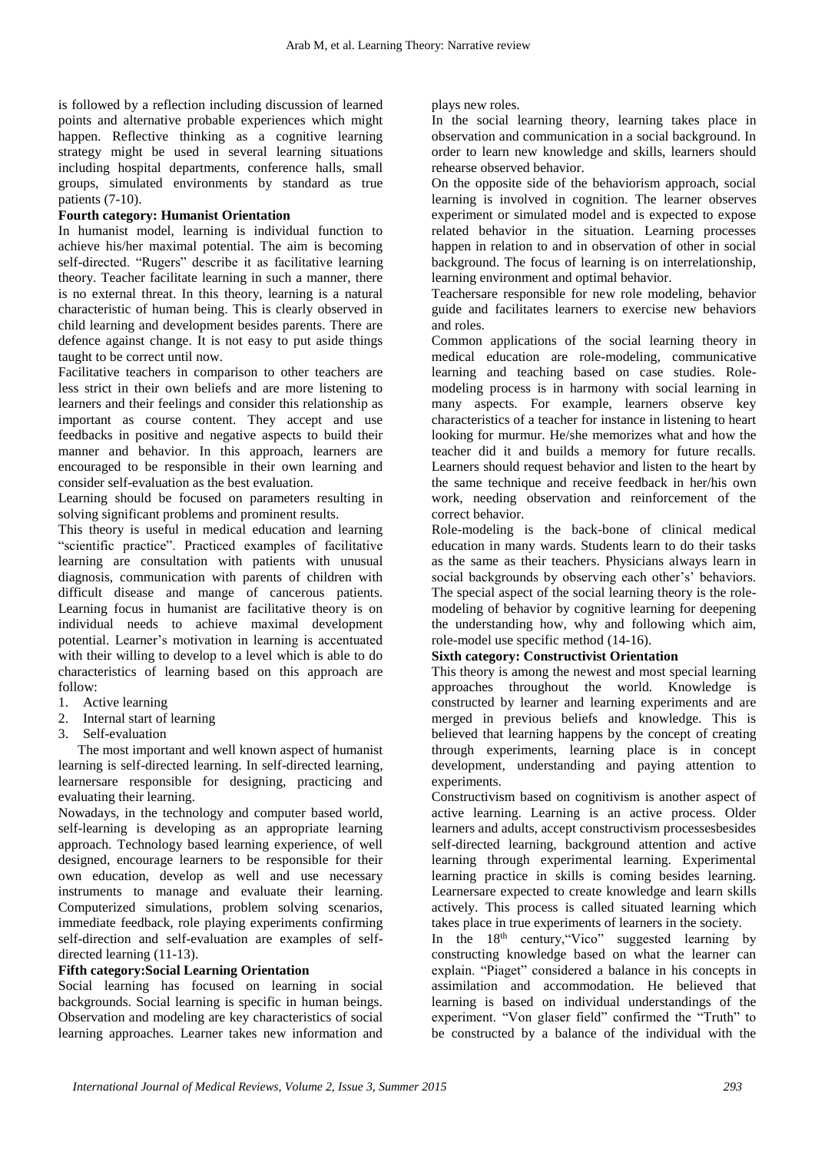is followed by a reflection including discussion of learned points and alternative probable experiences which might happen. Reflective thinking as a cognitive learning strategy might be used in several learning situations including hospital departments, conference halls, small groups, simulated environments by standard as true patients (7-10).

## **Fourth category: Humanist Orientation**

In humanist model, learning is individual function to achieve his/her maximal potential. The aim is becoming self-directed. "Rugers" describe it as facilitative learning theory. Teacher facilitate learning in such a manner, there is no external threat. In this theory, learning is a natural characteristic of human being. This is clearly observed in child learning and development besides parents. There are defence against change. It is not easy to put aside things taught to be correct until now.

Facilitative teachers in comparison to other teachers are less strict in their own beliefs and are more listening to learners and their feelings and consider this relationship as important as course content. They accept and use feedbacks in positive and negative aspects to build their manner and behavior. In this approach, learners are encouraged to be responsible in their own learning and consider self-evaluation as the best evaluation.

Learning should be focused on parameters resulting in solving significant problems and prominent results.

This theory is useful in medical education and learning "scientific practice". Practiced examples of facilitative learning are consultation with patients with unusual diagnosis, communication with parents of children with difficult disease and mange of cancerous patients. Learning focus in humanist are facilitative theory is on individual needs to achieve maximal development potential. Learner's motivation in learning is accentuated with their willing to develop to a level which is able to do characteristics of learning based on this approach are follow:

- 1. Active learning
- 2. Internal start of learning
- 3. Self-evaluation

The most important and well known aspect of humanist learning is self-directed learning. In self-directed learning, learnersare responsible for designing, practicing and evaluating their learning.

Nowadays, in the technology and computer based world, self-learning is developing as an appropriate learning approach. Technology based learning experience, of well designed, encourage learners to be responsible for their own education, develop as well and use necessary instruments to manage and evaluate their learning. Computerized simulations, problem solving scenarios, immediate feedback, role playing experiments confirming self-direction and self-evaluation are examples of selfdirected learning (11-13).

### **Fifth category:Social Learning Orientation**

Social learning has focused on learning in social backgrounds. Social learning is specific in human beings. Observation and modeling are key characteristics of social learning approaches. Learner takes new information and

plays new roles.

In the social learning theory, learning takes place in observation and communication in a social background. In order to learn new knowledge and skills, learners should rehearse observed behavior.

On the opposite side of the behaviorism approach, social learning is involved in cognition. The learner observes experiment or simulated model and is expected to expose related behavior in the situation. Learning processes happen in relation to and in observation of other in social background. The focus of learning is on interrelationship, learning environment and optimal behavior.

Teachersare responsible for new role modeling, behavior guide and facilitates learners to exercise new behaviors and roles.

Common applications of the social learning theory in medical education are role-modeling, communicative learning and teaching based on case studies. Rolemodeling process is in harmony with social learning in many aspects. For example, learners observe key characteristics of a teacher for instance in listening to heart looking for murmur. He/she memorizes what and how the teacher did it and builds a memory for future recalls. Learners should request behavior and listen to the heart by the same technique and receive feedback in her/his own work, needing observation and reinforcement of the correct behavior.

Role-modeling is the back-bone of clinical medical education in many wards. Students learn to do their tasks as the same as their teachers. Physicians always learn in social backgrounds by observing each other's' behaviors. The special aspect of the social learning theory is the rolemodeling of behavior by cognitive learning for deepening the understanding how, why and following which aim, role-model use specific method (14-16).

### **Sixth category: Constructivist Orientation**

This theory is among the newest and most special learning approaches throughout the world. Knowledge is constructed by learner and learning experiments and are merged in previous beliefs and knowledge. This is believed that learning happens by the concept of creating through experiments, learning place is in concept development, understanding and paying attention to experiments.

Constructivism based on cognitivism is another aspect of active learning. Learning is an active process. Older learners and adults, accept constructivism processesbesides self-directed learning, background attention and active learning through experimental learning. Experimental learning practice in skills is coming besides learning. Learnersare expected to create knowledge and learn skills actively. This process is called situated learning which takes place in true experiments of learners in the society.

In the 18<sup>th</sup> century, "Vico" suggested learning by constructing knowledge based on what the learner can explain. "Piaget" considered a balance in his concepts in assimilation and accommodation. He believed that learning is based on individual understandings of the experiment. "Von glaser field" confirmed the "Truth" to be constructed by a balance of the individual with the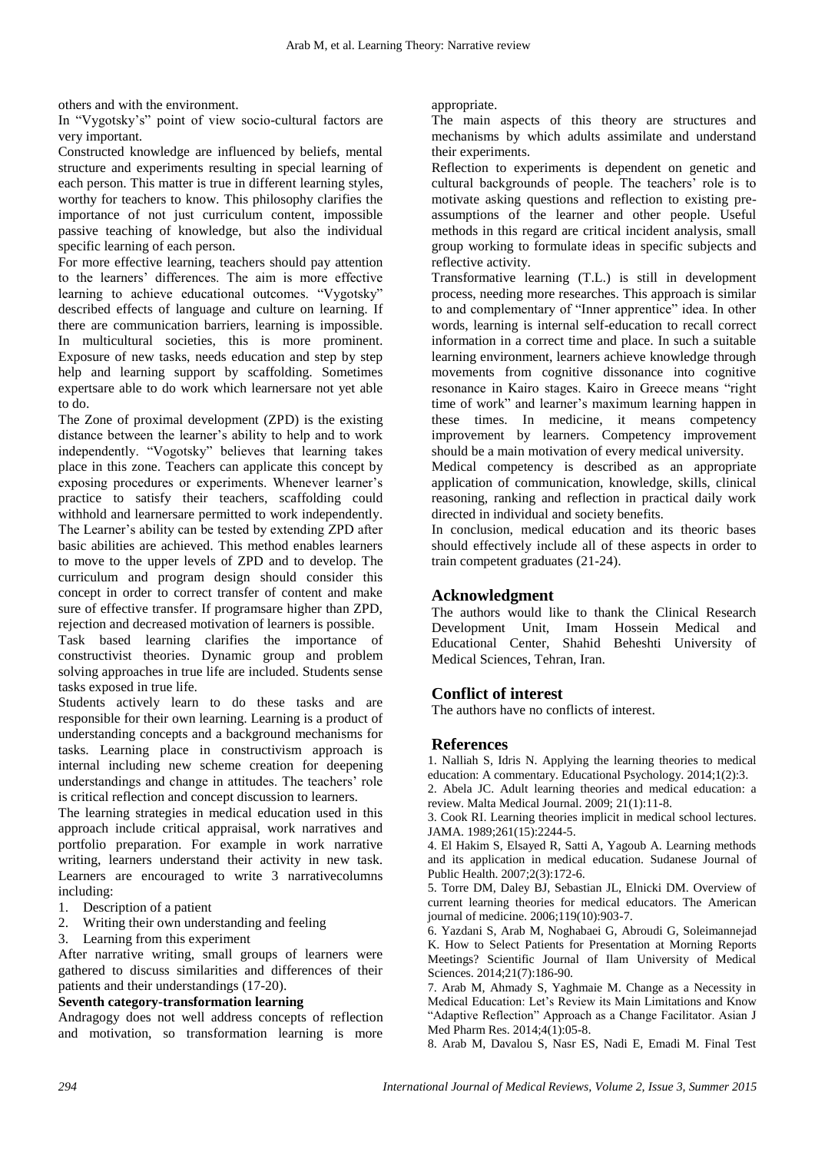others and with the environment.

In "Vygotsky's" point of view socio-cultural factors are very important.

Constructed knowledge are influenced by beliefs, mental structure and experiments resulting in special learning of each person. This matter is true in different learning styles, worthy for teachers to know. This philosophy clarifies the importance of not just curriculum content, impossible passive teaching of knowledge, but also the individual specific learning of each person.

For more effective learning, teachers should pay attention to the learners' differences. The aim is more effective learning to achieve educational outcomes. "Vygotsky" described effects of language and culture on learning. If there are communication barriers, learning is impossible. In multicultural societies, this is more prominent. Exposure of new tasks, needs education and step by step help and learning support by scaffolding. Sometimes expertsare able to do work which learnersare not yet able to do.

The Zone of proximal development (ZPD) is the existing distance between the learner's ability to help and to work independently. "Vogotsky" believes that learning takes place in this zone. Teachers can applicate this concept by exposing procedures or experiments. Whenever learner's practice to satisfy their teachers, scaffolding could withhold and learnersare permitted to work independently. The Learner's ability can be tested by extending ZPD after basic abilities are achieved. This method enables learners to move to the upper levels of ZPD and to develop. The curriculum and program design should consider this concept in order to correct transfer of content and make sure of effective transfer. If programsare higher than ZPD, rejection and decreased motivation of learners is possible.

Task based learning clarifies the importance of constructivist theories. Dynamic group and problem solving approaches in true life are included. Students sense tasks exposed in true life.

Students actively learn to do these tasks and are responsible for their own learning. Learning is a product of understanding concepts and a background mechanisms for tasks. Learning place in constructivism approach is internal including new scheme creation for deepening understandings and change in attitudes. The teachers' role is critical reflection and concept discussion to learners.

The learning strategies in medical education used in this approach include critical appraisal, work narratives and portfolio preparation. For example in work narrative writing, learners understand their activity in new task. Learners are encouraged to write 3 narrativecolumns including:

- 1. Description of a patient
- 2. Writing their own understanding and feeling
- 3. Learning from this experiment

After narrative writing, small groups of learners were gathered to discuss similarities and differences of their patients and their understandings (17-20).

### **Seventh category-transformation learning**

Andragogy does not well address concepts of reflection and motivation, so transformation learning is more

#### appropriate.

The main aspects of this theory are structures and mechanisms by which adults assimilate and understand their experiments.

Reflection to experiments is dependent on genetic and cultural backgrounds of people. The teachers' role is to motivate asking questions and reflection to existing preassumptions of the learner and other people. Useful methods in this regard are critical incident analysis, small group working to formulate ideas in specific subjects and reflective activity.

Transformative learning (T.L.) is still in development process, needing more researches. This approach is similar to and complementary of "Inner apprentice" idea. In other words, learning is internal self-education to recall correct information in a correct time and place. In such a suitable learning environment, learners achieve knowledge through movements from cognitive dissonance into cognitive resonance in Kairo stages. Kairo in Greece means "right time of work" and learner's maximum learning happen in these times. In medicine, it means competency improvement by learners. Competency improvement should be a main motivation of every medical university.

Medical competency is described as an appropriate application of communication, knowledge, skills, clinical reasoning, ranking and reflection in practical daily work directed in individual and society benefits.

In conclusion, medical education and its theoric bases should effectively include all of these aspects in order to train competent graduates (21-24).

# **Acknowledgment**

The authors would like to thank the Clinical Research Development Unit, Imam Hossein Medical and Educational Center, Shahid Beheshti University of Medical Sciences, Tehran, Iran.

# **Conflict of interest**

The authors have no conflicts of interest.

### **References**

1. Nalliah S, Idris N. Applying the learning theories to medical education: A commentary. Educational Psychology. 2014;1(2):3.

2. Abela JC. Adult learning theories and medical education: a review. Malta Medical Journal. 2009; 21(1):11-8.

3. Cook RI. Learning theories implicit in medical school lectures. JAMA. 1989;261(15):2244-5.

4. El Hakim S, Elsayed R, Satti A, Yagoub A. Learning methods and its application in medical education. Sudanese Journal of Public Health. 2007;2(3):172-6.

5. Torre DM, Daley BJ, Sebastian JL, Elnicki DM. Overview of current learning theories for medical educators. The American journal of medicine. 2006;119(10):903-7.

6. Yazdani S, Arab M, Noghabaei G, Abroudi G, Soleimannejad K. How to Select Patients for Presentation at Morning Reports Meetings? Scientific Journal of Ilam University of Medical Sciences. 2014;21(7):186-90.

7. Arab M, Ahmady S, Yaghmaie M. Change as a Necessity in Medical Education: Let's Review its Main Limitations and Know "Adaptive Reflection" Approach as a Change Facilitator. Asian J Med Pharm Res. 2014;4(1):05-8.

8. Arab M, Davalou S, Nasr ES, Nadi E, Emadi M. Final Test